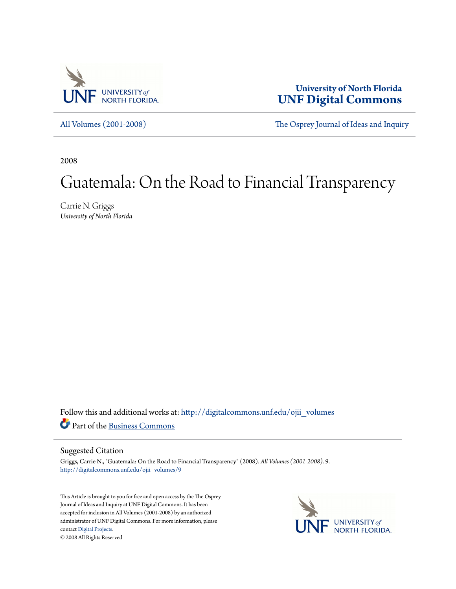

**University of North Florida [UNF Digital Commons](http://digitalcommons.unf.edu?utm_source=digitalcommons.unf.edu%2Fojii_volumes%2F9&utm_medium=PDF&utm_campaign=PDFCoverPages)**

[All Volumes \(2001-2008\)](http://digitalcommons.unf.edu/ojii_volumes?utm_source=digitalcommons.unf.edu%2Fojii_volumes%2F9&utm_medium=PDF&utm_campaign=PDFCoverPages) [The Osprey Journal of Ideas and Inquiry](http://digitalcommons.unf.edu/ojii?utm_source=digitalcommons.unf.edu%2Fojii_volumes%2F9&utm_medium=PDF&utm_campaign=PDFCoverPages)

2008

# Guatemala: On the Road to Financial Transparency

Carrie N. Griggs *University of North Florida*

Follow this and additional works at: [http://digitalcommons.unf.edu/ojii\\_volumes](http://digitalcommons.unf.edu/ojii_volumes?utm_source=digitalcommons.unf.edu%2Fojii_volumes%2F9&utm_medium=PDF&utm_campaign=PDFCoverPages) Part of the [Business Commons](http://network.bepress.com/hgg/discipline/622?utm_source=digitalcommons.unf.edu%2Fojii_volumes%2F9&utm_medium=PDF&utm_campaign=PDFCoverPages)

#### Suggested Citation

Griggs, Carrie N., "Guatemala: On the Road to Financial Transparency" (2008). *All Volumes (2001-2008)*. 9. [http://digitalcommons.unf.edu/ojii\\_volumes/9](http://digitalcommons.unf.edu/ojii_volumes/9?utm_source=digitalcommons.unf.edu%2Fojii_volumes%2F9&utm_medium=PDF&utm_campaign=PDFCoverPages)

This Article is brought to you for free and open access by the The Osprey Journal of Ideas and Inquiry at UNF Digital Commons. It has been accepted for inclusion in All Volumes (2001-2008) by an authorized administrator of UNF Digital Commons. For more information, please contact [Digital Projects.](mailto:lib-digital@unf.edu) © 2008 All Rights Reserved

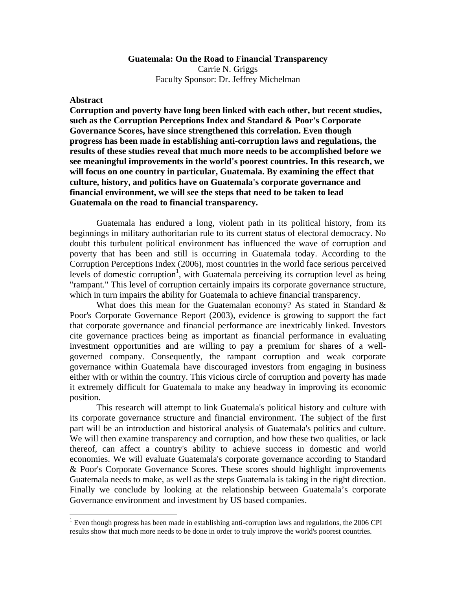#### **Guatemala: On the Road to Financial Transparency**  Carrie N. Griggs

Faculty Sponsor: Dr. Jeffrey Michelman

## **Abstract**

 $\overline{a}$ 

**Corruption and poverty have long been linked with each other, but recent studies, such as the Corruption Perceptions Index and Standard & Poor's Corporate Governance Scores, have since strengthened this correlation. Even though progress has been made in establishing anti-corruption laws and regulations, the results of these studies reveal that much more needs to be accomplished before we see meaningful improvements in the world's poorest countries. In this research, we will focus on one country in particular, Guatemala. By examining the effect that culture, history, and politics have on Guatemala's corporate governance and financial environment, we will see the steps that need to be taken to lead Guatemala on the road to financial transparency.** 

 Guatemala has endured a long, violent path in its political history, from its beginnings in military authoritarian rule to its current status of electoral democracy. No doubt this turbulent political environment has influenced the wave of corruption and poverty that has been and still is occurring in Guatemala today. According to the Corruption Perceptions Index (2006), most countries in the world face serious perceived levels of domestic corruption<sup>1</sup>, with Guatemala perceiving its corruption level as being "rampant." This level of corruption certainly impairs its corporate governance structure, which in turn impairs the ability for Guatemala to achieve financial transparency.

What does this mean for the Guatemalan economy? As stated in Standard & Poor's Corporate Governance Report (2003), evidence is growing to support the fact that corporate governance and financial performance are inextricably linked. Investors cite governance practices being as important as financial performance in evaluating investment opportunities and are willing to pay a premium for shares of a wellgoverned company. Consequently, the rampant corruption and weak corporate governance within Guatemala have discouraged investors from engaging in business either with or within the country. This vicious circle of corruption and poverty has made it extremely difficult for Guatemala to make any headway in improving its economic position.

This research will attempt to link Guatemala's political history and culture with its corporate governance structure and financial environment. The subject of the first part will be an introduction and historical analysis of Guatemala's politics and culture. We will then examine transparency and corruption, and how these two qualities, or lack thereof, can affect a country's ability to achieve success in domestic and world economies. We will evaluate Guatemala's corporate governance according to Standard & Poor's Corporate Governance Scores. These scores should highlight improvements Guatemala needs to make, as well as the steps Guatemala is taking in the right direction. Finally we conclude by looking at the relationship between Guatemala's corporate Governance environment and investment by US based companies.

<sup>&</sup>lt;sup>1</sup> Even though progress has been made in establishing anti-corruption laws and regulations, the 2006 CPI results show that much more needs to be done in order to truly improve the world's poorest countries.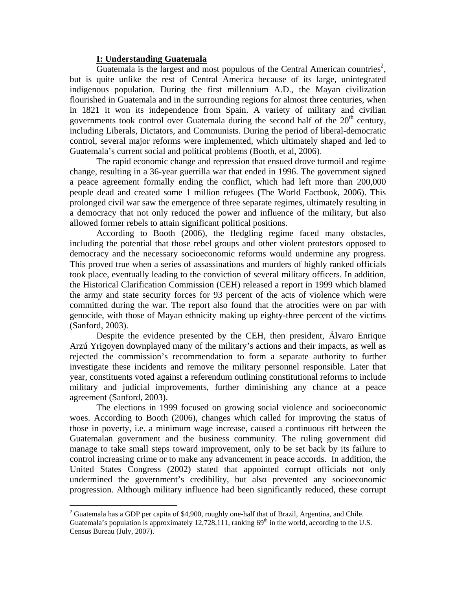# **I: Understanding Guatemala**

Guatemala is the largest and most populous of the Central American countries<sup>2</sup>, but is quite unlike the rest of Central America because of its large, unintegrated indigenous population. During the first millennium A.D., the Mayan civilization flourished in Guatemala and in the surrounding regions for almost three centuries, when in 1821 it won its independence from Spain. A variety of military and civilian governments took control over Guatemala during the second half of the  $20<sup>th</sup>$  century, including Liberals, Dictators, and Communists. During the period of liberal-democratic control, several major reforms were implemented, which ultimately shaped and led to Guatemala's current social and political problems (Booth, et al, 2006).

The rapid economic change and repression that ensued drove turmoil and regime change, resulting in a 36-year guerrilla war that ended in 1996. The government signed a peace agreement formally ending the conflict, which had left more than 200,000 people dead and created some 1 million refugees (The World Factbook, 2006). This prolonged civil war saw the emergence of three separate regimes, ultimately resulting in a democracy that not only reduced the power and influence of the military, but also allowed former rebels to attain significant political positions.

According to Booth (2006), the fledgling regime faced many obstacles, including the potential that those rebel groups and other violent protestors opposed to democracy and the necessary socioeconomic reforms would undermine any progress. This proved true when a series of assassinations and murders of highly ranked officials took place, eventually leading to the conviction of several military officers. In addition, the Historical Clarification Commission (CEH) released a report in 1999 which blamed the army and state security forces for 93 percent of the acts of violence which were committed during the war. The report also found that the atrocities were on par with genocide, with those of Mayan ethnicity making up eighty-three percent of the victims (Sanford, 2003).

Despite the evidence presented by the CEH, then president, Álvaro Enrique Arzú Yrigoyen downplayed many of the military's actions and their impacts, as well as rejected the commission's recommendation to form a separate authority to further investigate these incidents and remove the military personnel responsible. Later that year, constituents voted against a referendum outlining constitutional reforms to include military and judicial improvements, further diminishing any chance at a peace agreement (Sanford, 2003).

The elections in 1999 focused on growing social violence and socioeconomic woes. According to Booth (2006), changes which called for improving the status of those in poverty, i.e. a minimum wage increase, caused a continuous rift between the Guatemalan government and the business community. The ruling government did manage to take small steps toward improvement, only to be set back by its failure to control increasing crime or to make any advancement in peace accords. In addition, the United States Congress (2002) stated that appointed corrupt officials not only undermined the government's credibility, but also prevented any socioeconomic progression. Although military influence had been significantly reduced, these corrupt

<sup>&</sup>lt;sup>2</sup> Guatemala has a GDP per capita of \$4,900, roughly one-half that of Brazil, Argentina, and Chile. Guatemala's population is approximately 12,728,111, ranking 69<sup>th</sup> in the world, according to the U.S. Census Bureau (July, 2007).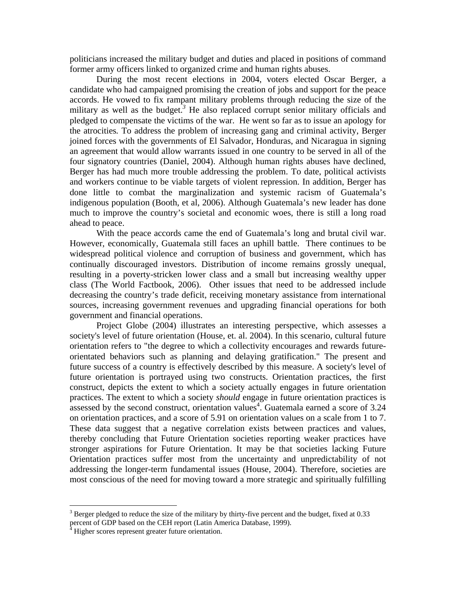politicians increased the military budget and duties and placed in positions of command former army officers linked to organized crime and human rights abuses.

During the most recent elections in 2004, voters elected Oscar Berger, a candidate who had campaigned promising the creation of jobs and support for the peace accords. He vowed to fix rampant military problems through reducing the size of the military as well as the budget.<sup>3</sup> He also replaced corrupt senior military officials and pledged to compensate the victims of the war. He went so far as to issue an apology for the atrocities*.* To address the problem of increasing gang and criminal activity, Berger joined forces with the governments of El Salvador, Honduras, and Nicaragua in signing an agreement that would allow warrants issued in one country to be served in all of the four signatory countries (Daniel, 2004). Although human rights abuses have declined, Berger has had much more trouble addressing the problem. To date, political activists and workers continue to be viable targets of violent repression. In addition, Berger has done little to combat the marginalization and systemic racism of Guatemala's indigenous population (Booth, et al, 2006). Although Guatemala's new leader has done much to improve the country's societal and economic woes, there is still a long road ahead to peace.

With the peace accords came the end of Guatemala's long and brutal civil war. However, economically, Guatemala still faces an uphill battle. There continues to be widespread political violence and corruption of business and government, which has continually discouraged investors. Distribution of income remains grossly unequal, resulting in a poverty-stricken lower class and a small but increasing wealthy upper class (The World Factbook, 2006). Other issues that need to be addressed include decreasing the country's trade deficit, receiving monetary assistance from international sources, increasing government revenues and upgrading financial operations for both government and financial operations.

Project Globe (2004) illustrates an interesting perspective, which assesses a society's level of future orientation (House, et. al. 2004). In this scenario, cultural future orientation refers to "the degree to which a collectivity encourages and rewards futureorientated behaviors such as planning and delaying gratification." The present and future success of a country is effectively described by this measure. A society's level of future orientation is portrayed using two constructs. Orientation practices, the first construct, depicts the extent to which a society actually engages in future orientation practices. The extent to which a society *should* engage in future orientation practices is assessed by the second construct, orientation values<sup>4</sup>. Guatemala earned a score of  $3.24$ on orientation practices, and a score of 5.91 on orientation values on a scale from 1 to 7. These data suggest that a negative correlation exists between practices and values, thereby concluding that Future Orientation societies reporting weaker practices have stronger aspirations for Future Orientation. It may be that societies lacking Future Orientation practices suffer most from the uncertainty and unpredictability of not addressing the longer-term fundamental issues (House, 2004). Therefore, societies are most conscious of the need for moving toward a more strategic and spiritually fulfilling

 $3$  Berger pledged to reduce the size of the military by thirty-five percent and the budget, fixed at 0.33 percent of GDP based on the CEH report (Latin America Database, 1999).

Higher scores represent greater future orientation.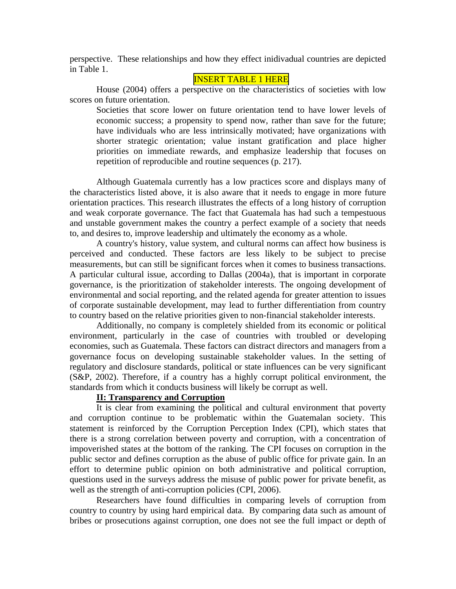perspective. These relationships and how they effect inidivadual countries are depicted in Table 1.

# [INSERT TABLE 1 HERE](#page-12-0)

House (2004) offers a perspective on the characteristics of societies with low scores on future orientation.

Societies that score lower on future orientation tend to have lower levels of economic success; a propensity to spend now, rather than save for the future; have individuals who are less intrinsically motivated; have organizations with shorter strategic orientation; value instant gratification and place higher priorities on immediate rewards, and emphasize leadership that focuses on repetition of reproducible and routine sequences (p. 217).

Although Guatemala currently has a low practices score and displays many of the characteristics listed above, it is also aware that it needs to engage in more future orientation practices. This research illustrates the effects of a long history of corruption and weak corporate governance. The fact that Guatemala has had such a tempestuous and unstable government makes the country a perfect example of a society that needs to, and desires to, improve leadership and ultimately the economy as a whole.

A country's history, value system, and cultural norms can affect how business is perceived and conducted. These factors are less likely to be subject to precise measurements, but can still be significant forces when it comes to business transactions. A particular cultural issue, according to Dallas (2004a), that is important in corporate governance, is the prioritization of stakeholder interests. The ongoing development of environmental and social reporting, and the related agenda for greater attention to issues of corporate sustainable development, may lead to further differentiation from country to country based on the relative priorities given to non-financial stakeholder interests.

Additionally, no company is completely shielded from its economic or political environment, particularly in the case of countries with troubled or developing economies, such as Guatemala. These factors can distract directors and managers from a governance focus on developing sustainable stakeholder values. In the setting of regulatory and disclosure standards, political or state influences can be very significant (S&P, 2002). Therefore, if a country has a highly corrupt political environment, the standards from which it conducts business will likely be corrupt as well.

# **II: Transparency and Corruption**

It is clear from examining the political and cultural environment that poverty and corruption continue to be problematic within the Guatemalan society. This statement is reinforced by the Corruption Perception Index (CPI), which states that there is a strong correlation between poverty and corruption, with a concentration of impoverished states at the bottom of the ranking. The CPI focuses on corruption in the public sector and defines corruption as the abuse of public office for private gain. In an effort to determine public opinion on both administrative and political corruption, questions used in the surveys address the misuse of public power for private benefit, as well as the strength of anti-corruption policies (CPI, 2006).

Researchers have found difficulties in comparing levels of corruption from country to country by using hard empirical data. By comparing data such as amount of bribes or prosecutions against corruption, one does not see the full impact or depth of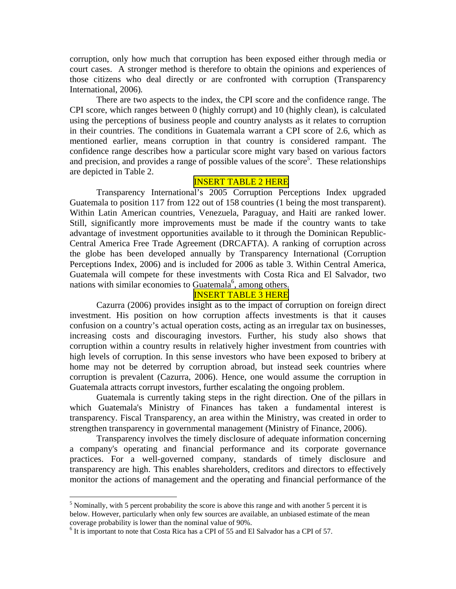corruption, only how much that corruption has been exposed either through media or court cases. A stronger method is therefore to obtain the opinions and experiences of those citizens who deal directly or are confronted with corruption (Transparency International, 2006)*.* 

There are two aspects to the index, the CPI score and the confidence range. The CPI score, which ranges between 0 (highly corrupt) and 10 (highly clean), is calculated using the perceptions of business people and country analysts as it relates to corruption in their countries. The conditions in Guatemala warrant a CPI score of 2.6, which as mentioned earlier, means corruption in that country is considered rampant. The confidence range describes how a particular score might vary based on various factors and precision, and provides a range of possible values of the score<sup>5</sup>. These relationships are depicted in Table 2.

### [INSERT TABLE 2 HERE](#page-13-0)

Transparency International's 2005 Corruption Perceptions Index upgraded Guatemala to position 117 from 122 out of 158 countries (1 being the most transparent). Within Latin American countries, Venezuela, Paraguay, and Haiti are ranked lower. Still, significantly more improvements must be made if the country wants to take advantage of investment opportunities available to it through the Dominican Republic-Central America Free Trade Agreement (DRCAFTA). A ranking of corruption across the globe has been developed annually by Transparency International (Corruption Perceptions Index, 2006) and is included for 2006 as table 3. Within Central America, Guatemala will compete for these investments with Costa Rica and El Salvador, two nations with similar economies to Guatemala<sup>6</sup>, among others.

### [INSERT TABLE 3 HERE](#page-13-0)

Cazurra (2006) provides insight as to the impact of corruption on foreign direct investment. His position on how corruption affects investments is that it causes confusion on a country's actual operation costs, acting as an irregular tax on businesses, increasing costs and discouraging investors. Further, his study also shows that corruption within a country results in relatively higher investment from countries with high levels of corruption. In this sense investors who have been exposed to bribery at home may not be deterred by corruption abroad, but instead seek countries where corruption is prevalent (Cazurra, 2006). Hence, one would assume the corruption in Guatemala attracts corrupt investors, further escalating the ongoing problem.

Guatemala is currently taking steps in the right direction. One of the pillars in which Guatemala's Ministry of Finances has taken a fundamental interest is transparency. Fiscal Transparency, an area within the Ministry, was created in order to strengthen transparency in governmental management (Ministry of Finance, 2006).

Transparency involves the timely disclosure of adequate information concerning a company's operating and financial performance and its corporate governance practices. For a well-governed company, standards of timely disclosure and transparency are high. This enables shareholders, creditors and directors to effectively monitor the actions of management and the operating and financial performance of the

 $<sup>5</sup>$  Nominally, with 5 percent probability the score is above this range and with another 5 percent it is</sup> below. However, particularly when only few sources are available, an unbiased estimate of the mean coverage probability is lower than the nominal value of 90%.

<sup>&</sup>lt;sup>6</sup> It is important to note that Costa Rica has a CPI of 55 and El Salvador has a CPI of 57.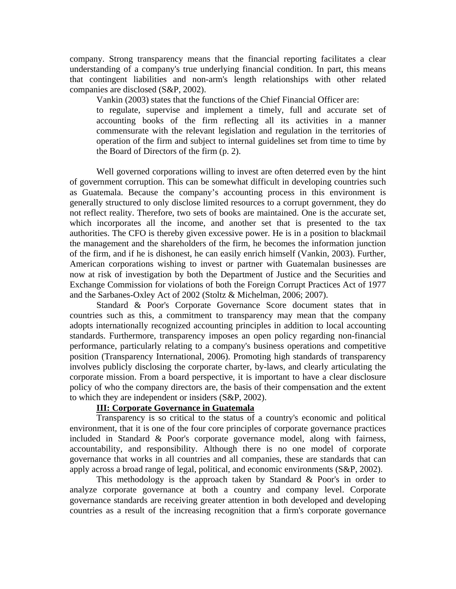company. Strong transparency means that the financial reporting facilitates a clear understanding of a company's true underlying financial condition. In part, this means that contingent liabilities and non-arm's length relationships with other related companies are disclosed (S&P, 2002).

Vankin (2003) states that the functions of the Chief Financial Officer are:

to regulate, supervise and implement a timely, full and accurate set of accounting books of the firm reflecting all its activities in a manner commensurate with the relevant legislation and regulation in the territories of operation of the firm and subject to internal guidelines set from time to time by the Board of Directors of the firm (p. 2).

Well governed corporations willing to invest are often deterred even by the hint of government corruption. This can be somewhat difficult in developing countries such as Guatemala. Because the company's accounting process in this environment is generally structured to only disclose limited resources to a corrupt government, they do not reflect reality. Therefore, two sets of books are maintained. One is the accurate set, which incorporates all the income, and another set that is presented to the tax authorities. The CFO is thereby given excessive power. He is in a position to blackmail the management and the shareholders of the firm, he becomes the information junction of the firm, and if he is dishonest, he can easily enrich himself (Vankin, 2003). Further, American corporations wishing to invest or partner with Guatemalan businesses are now at risk of investigation by both the Department of Justice and the Securities and Exchange Commission for violations of both the Foreign Corrupt Practices Act of 1977 and the Sarbanes-Oxley Act of 2002 (Stoltz & Michelman, 2006; 2007).

Standard & Poor's Corporate Governance Score document states that in countries such as this, a commitment to transparency may mean that the company adopts internationally recognized accounting principles in addition to local accounting standards. Furthermore, transparency imposes an open policy regarding non-financial performance, particularly relating to a company's business operations and competitive position (Transparency International, 2006). Promoting high standards of transparency involves publicly disclosing the corporate charter, by-laws, and clearly articulating the corporate mission. From a board perspective, it is important to have a clear disclosure policy of who the company directors are, the basis of their compensation and the extent to which they are independent or insiders (S&P, 2002).

# **III: Corporate Governance in Guatemala**

Transparency is so critical to the status of a country's economic and political environment, that it is one of the four core principles of corporate governance practices included in Standard & Poor's corporate governance model, along with fairness, accountability, and responsibility. Although there is no one model of corporate governance that works in all countries and all companies, these are standards that can apply across a broad range of legal, political, and economic environments (S&P, 2002).

This methodology is the approach taken by Standard & Poor's in order to analyze corporate governance at both a country and company level. Corporate governance standards are receiving greater attention in both developed and developing countries as a result of the increasing recognition that a firm's corporate governance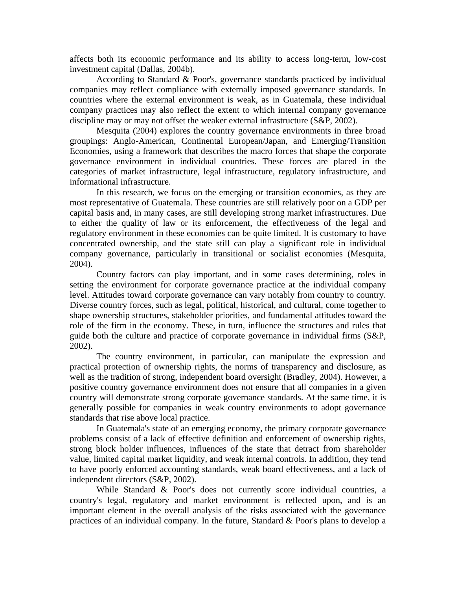affects both its economic performance and its ability to access long-term, low-cost investment capital (Dallas, 2004b).

According to Standard & Poor's, governance standards practiced by individual companies may reflect compliance with externally imposed governance standards. In countries where the external environment is weak, as in Guatemala, these individual company practices may also reflect the extent to which internal company governance discipline may or may not offset the weaker external infrastructure (S&P, 2002).

Mesquita (2004) explores the country governance environments in three broad groupings: Anglo-American, Continental European/Japan, and Emerging/Transition Economies, using a framework that describes the macro forces that shape the corporate governance environment in individual countries. These forces are placed in the categories of market infrastructure, legal infrastructure, regulatory infrastructure, and informational infrastructure.

In this research, we focus on the emerging or transition economies, as they are most representative of Guatemala. These countries are still relatively poor on a GDP per capital basis and, in many cases, are still developing strong market infrastructures. Due to either the quality of law or its enforcement, the effectiveness of the legal and regulatory environment in these economies can be quite limited. It is customary to have concentrated ownership, and the state still can play a significant role in individual company governance, particularly in transitional or socialist economies (Mesquita, 2004).

Country factors can play important, and in some cases determining, roles in setting the environment for corporate governance practice at the individual company level. Attitudes toward corporate governance can vary notably from country to country. Diverse country forces, such as legal, political, historical, and cultural, come together to shape ownership structures, stakeholder priorities, and fundamental attitudes toward the role of the firm in the economy. These, in turn, influence the structures and rules that guide both the culture and practice of corporate governance in individual firms (S&P, 2002).

The country environment, in particular, can manipulate the expression and practical protection of ownership rights, the norms of transparency and disclosure, as well as the tradition of strong, independent board oversight (Bradley, 2004). However, a positive country governance environment does not ensure that all companies in a given country will demonstrate strong corporate governance standards. At the same time, it is generally possible for companies in weak country environments to adopt governance standards that rise above local practice.

In Guatemala's state of an emerging economy, the primary corporate governance problems consist of a lack of effective definition and enforcement of ownership rights, strong block holder influences, influences of the state that detract from shareholder value, limited capital market liquidity, and weak internal controls. In addition, they tend to have poorly enforced accounting standards, weak board effectiveness, and a lack of independent directors (S&P, 2002).

While Standard & Poor's does not currently score individual countries, a country's legal, regulatory and market environment is reflected upon, and is an important element in the overall analysis of the risks associated with the governance practices of an individual company. In the future, Standard & Poor's plans to develop a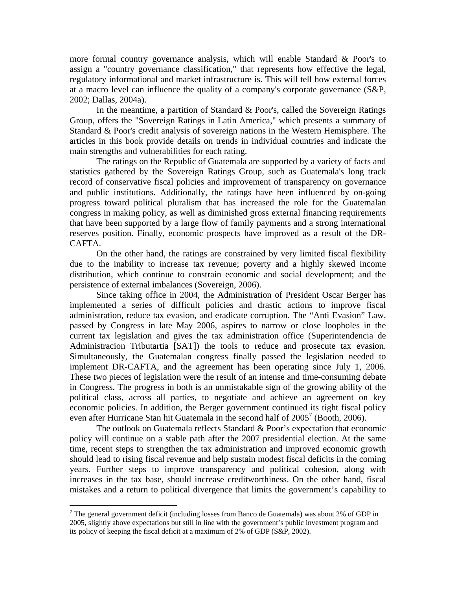more formal country governance analysis, which will enable Standard & Poor's to assign a "country governance classification," that represents how effective the legal, regulatory informational and market infrastructure is. This will tell how external forces at a macro level can influence the quality of a company's corporate governance (S&P, 2002; Dallas, 2004a).

In the meantime, a partition of Standard  $& Poor's$ , called the Sovereign Ratings Group, offers the "Sovereign Ratings in Latin America," which presents a summary of Standard & Poor's credit analysis of sovereign nations in the Western Hemisphere. The articles in this book provide details on trends in individual countries and indicate the main strengths and vulnerabilities for each rating.

The ratings on the Republic of Guatemala are supported by a variety of facts and statistics gathered by the Sovereign Ratings Group, such as Guatemala's long track record of conservative fiscal policies and improvement of transparency on governance and public institutions. Additionally, the ratings have been influenced by on-going progress toward political pluralism that has increased the role for the Guatemalan congress in making policy, as well as diminished gross external financing requirements that have been supported by a large flow of family payments and a strong international reserves position. Finally, economic prospects have improved as a result of the DR-CAFTA.

On the other hand, the ratings are constrained by very limited fiscal flexibility due to the inability to increase tax revenue; poverty and a highly skewed income distribution, which continue to constrain economic and social development; and the persistence of external imbalances (Sovereign, 2006).

Since taking office in 2004, the Administration of President Oscar Berger has implemented a series of difficult policies and drastic actions to improve fiscal administration, reduce tax evasion, and eradicate corruption. The "Anti Evasion" Law, passed by Congress in late May 2006, aspires to narrow or close loopholes in the current tax legislation and gives the tax administration office (Superintendencia de Administracion Tributartia [SAT]) the tools to reduce and prosecute tax evasion. Simultaneously, the Guatemalan congress finally passed the legislation needed to implement DR-CAFTA, and the agreement has been operating since July 1, 2006. These two pieces of legislation were the result of an intense and time-consuming debate in Congress. The progress in both is an unmistakable sign of the growing ability of the political class, across all parties, to negotiate and achieve an agreement on key economic policies. In addition, the Berger government continued its tight fiscal policy even after Hurricane Stan hit Guatemala in the second half of  $2005^7$  (Booth, 2006).

The outlook on Guatemala reflects Standard & Poor's expectation that economic policy will continue on a stable path after the 2007 presidential election. At the same time, recent steps to strengthen the tax administration and improved economic growth should lead to rising fiscal revenue and help sustain modest fiscal deficits in the coming years. Further steps to improve transparency and political cohesion, along with increases in the tax base, should increase creditworthiness. On the other hand, fiscal mistakes and a return to political divergence that limits the government's capability to

<sup>&</sup>lt;sup>7</sup> The general government deficit (including losses from Banco de Guatemala) was about 2% of GDP in 2005, slightly above expectations but still in line with the government's public investment program and its policy of keeping the fiscal deficit at a maximum of 2% of GDP (S&P, 2002).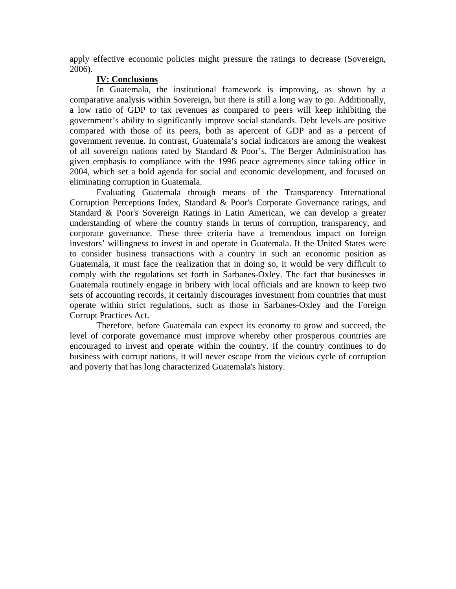apply effective economic policies might pressure the ratings to decrease (Sovereign, 2006).

# **IV: Conclusions**

In Guatemala, the institutional framework is improving, as shown by a comparative analysis within Sovereign, but there is still a long way to go. Additionally, a low ratio of GDP to tax revenues as compared to peers will keep inhibiting the government's ability to significantly improve social standards. Debt levels are positive compared with those of its peers, both as apercent of GDP and as a percent of government revenue. In contrast, Guatemala's social indicators are among the weakest of all sovereign nations rated by Standard & Poor's. The Berger Administration has given emphasis to compliance with the 1996 peace agreements since taking office in 2004, which set a bold agenda for social and economic development, and focused on eliminating corruption in Guatemala.

Evaluating Guatemala through means of the Transparency International Corruption Perceptions Index, Standard & Poor's Corporate Governance ratings, and Standard & Poor's Sovereign Ratings in Latin American, we can develop a greater understanding of where the country stands in terms of corruption, transparency, and corporate governance. These three criteria have a tremendous impact on foreign investors' willingness to invest in and operate in Guatemala. If the United States were to consider business transactions with a country in such an economic position as Guatemala, it must face the realization that in doing so, it would be very difficult to comply with the regulations set forth in Sarbanes-Oxley. The fact that businesses in Guatemala routinely engage in bribery with local officials and are known to keep two sets of accounting records, it certainly discourages investment from countries that must operate within strict regulations, such as those in Sarbanes-Oxley and the Foreign Corrupt Practices Act.

Therefore, before Guatemala can expect its economy to grow and succeed, the level of corporate governance must improve whereby other prosperous countries are encouraged to invest and operate within the country. If the country continues to do business with corrupt nations, it will never escape from the vicious cycle of corruption and poverty that has long characterized Guatemala's history.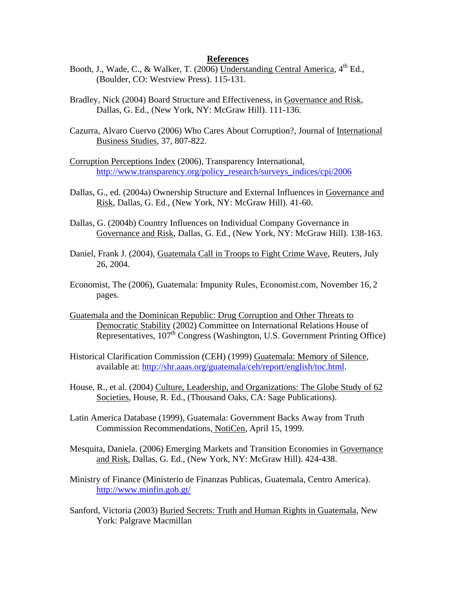#### **References**

- Booth, J., Wade, C., & Walker, T. (2006) Understanding Central America, 4<sup>th</sup> Ed., (Boulder, CO: Westview Press). 115-131.
- Bradley, Nick (2004) Board Structure and Effectiveness, in Governance and Risk, Dallas, G. Ed., (New York, NY: McGraw Hill). 111-136.
- Cazurra, Alvaro Cuervo (2006) Who Cares About Corruption?, Journal of International Business Studies, 37, 807-822.
- Corruption Perceptions Index (2006), Transparency International, http://www.transparency.org/policy\_research/surveys\_indices/cpi/2006
- Dallas, G., ed. (2004a) Ownership Structure and External Influences in Governance and Risk, Dallas, G. Ed., (New York, NY: McGraw Hill). 41-60.
- Dallas, G. (2004b) Country Influences on Individual Company Governance in Governance and Risk, Dallas, G. Ed., (New York, NY: McGraw Hill). 138-163.
- Daniel, Frank J. (2004), Guatemala Call in Troops to Fight Crime Wave, Reuters, July 26, 2004.
- Economist, The (2006), Guatemala: Impunity Rules, Economist.com, November 16, 2 pages.
- Guatemala and the Dominican Republic: Drug Corruption and Other Threats to Democratic Stability (2002) Committee on International Relations House of Representatives,  $107<sup>th</sup>$  Congress (Washington, U.S. Government Printing Office)
- Historical Clarification Commission (CEH) (1999) Guatemala: Memory of Silence*,* available at: http://shr.aaas.org/guatemala/ceh/report/english/toc.html.
- House, R., et al. (2004) Culture, Leadership, and Organizations: The Globe Study of 62 Societies, House, R. Ed., (Thousand Oaks, CA: Sage Publications).
- Latin America Database (1999), Guatemala: Government Backs Away from Truth Commission Recommendations, NotiCen, April 15, 1999.
- Mesquita, Daniela. (2006) Emerging Markets and Transition Economies in Governance and Risk, Dallas, G. Ed., (New York, NY: McGraw Hill). 424-438.
- Ministry of Finance (Ministerio de Finanzas Publicas, Guatemala, Centro America). http://www.minfin.gob.gt/
- Sanford, Victoria (2003) Buried Secrets: Truth and Human Rights in Guatemala, New York: Palgrave Macmillan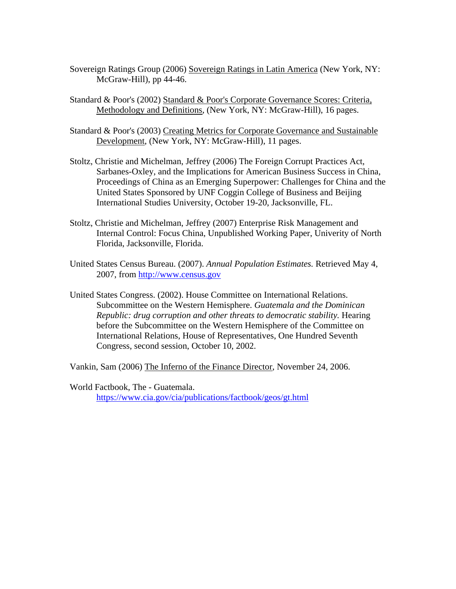- Sovereign Ratings Group (2006) Sovereign Ratings in Latin America (New York, NY: McGraw-Hill), pp 44-46.
- Standard & Poor's (2002) Standard & Poor's Corporate Governance Scores: Criteria, Methodology and Definitions, (New York, NY: McGraw-Hill), 16 pages.
- Standard & Poor's (2003) Creating Metrics for Corporate Governance and Sustainable Development, (New York, NY: McGraw-Hill), 11 pages.
- Stoltz, Christie and Michelman, Jeffrey (2006) The Foreign Corrupt Practices Act, Sarbanes-Oxley, and the Implications for American Business Success in China, Proceedings of China as an Emerging Superpower: Challenges for China and the United States Sponsored by UNF Coggin College of Business and Beijing International Studies University, October 19-20, Jacksonville, FL.
- Stoltz, Christie and Michelman, Jeffrey (2007) Enterprise Risk Management and Internal Control: Focus China, Unpublished Working Paper, Univerity of North Florida, Jacksonville, Florida.
- United States Census Bureau. (2007). *Annual Population Estimates.* Retrieved May 4, 2007, from http://www.census.gov

United States Congress. (2002). House Committee on International Relations. Subcommittee on the Western Hemisphere. *Guatemala and the Dominican Republic: drug corruption and other threats to democratic stability.* Hearing before the Subcommittee on the Western Hemisphere of the Committee on International Relations, House of Representatives, One Hundred Seventh Congress, second session, October 10, 2002.

Vankin, Sam (2006) The Inferno of the Finance Director, November 24, 2006.

World Factbook, The - Guatemala. https://www.cia.gov/cia/publications/factbook/geos/gt.html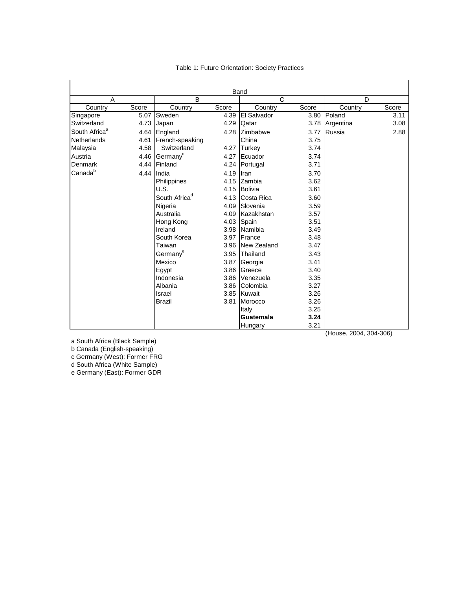<span id="page-12-0"></span>

|                           |       |                           |       | Band            |       |                |       |
|---------------------------|-------|---------------------------|-------|-----------------|-------|----------------|-------|
| A                         |       | B                         |       | C               |       | D              |       |
| Country                   | Score | Country                   | Score | Country         | Score | Country        | Score |
| Singapore                 | 5.07  | Sweden                    | 4.39  | El Salvador     | 3.80  | Poland         | 3.11  |
| Switzerland               | 4.73  | Japan                     | 4.29  | Qatar           |       | 3.78 Argentina | 3.08  |
| South Africa <sup>a</sup> | 4.64  | England                   | 4.28  | <b>Zimbabwe</b> | 3.77  | Russia         | 2.88  |
| Netherlands               | 4.61  | French-speaking           |       | China           | 3.75  |                |       |
| Malaysia                  | 4.58  | Switzerland               | 4.27  | Turkey          | 3.74  |                |       |
| Austria                   | 4.46  | Germany <sup>c</sup>      | 4.27  | Ecuador         | 3.74  |                |       |
| <b>Denmark</b>            | 4.44  | Finland                   | 4.24  | Portugal        | 3.71  |                |       |
| Canada <sup>b</sup>       | 4.44  | India                     | 4.19  | <b>I</b> Iran   | 3.70  |                |       |
|                           |       | Philippines               | 4.15  | <b>Zambia</b>   | 3.62  |                |       |
|                           |       | U.S.                      | 4.15  | Bolivia         | 3.61  |                |       |
|                           |       | South Africa <sup>d</sup> | 4.13  | Costa Rica      | 3.60  |                |       |
|                           |       | Nigeria                   | 4.09  | Slovenia        | 3.59  |                |       |
|                           |       | Australia                 | 4.09  | Kazakhstan      | 3.57  |                |       |
|                           |       | Hong Kong                 | 4.03  | Spain           | 3.51  |                |       |
|                           |       | Ireland                   | 3.98  | Namibia         | 3.49  |                |       |
|                           |       | South Korea               | 3.97  | <b>IFrance</b>  | 3.48  |                |       |
|                           |       | Taiwan                    | 3.96  | New Zealand     | 3.47  |                |       |
|                           |       | Germany <sup>e</sup>      | 3.95  | Thailand        | 3.43  |                |       |
|                           |       | Mexico                    | 3.87  | Georgia         | 3.41  |                |       |
|                           |       | Egypt                     | 3.86  | Greece          | 3.40  |                |       |
|                           |       | Indonesia                 | 3.86  | Venezuela       | 3.35  |                |       |
|                           |       | Albania                   | 3.86  | Colombia        | 3.27  |                |       |
|                           |       | Israel                    | 3.85  | Kuwait          | 3.26  |                |       |
|                           |       | <b>Brazil</b>             | 3.81  | Morocco         | 3.26  |                |       |
|                           |       |                           |       | Italy           | 3.25  |                |       |
|                           |       |                           |       | Guatemala       | 3.24  |                |       |
|                           |       |                           |       | Hungary         | 3.21  |                |       |

Table 1: Future Orientation: Society Practices

a South Africa (Black Sample)

b Canada (English-speaking)

c Germany (West): Former FRG

d South Africa (White Sample)

e Germany (East): Former GDR

(House, 2004, 304-306)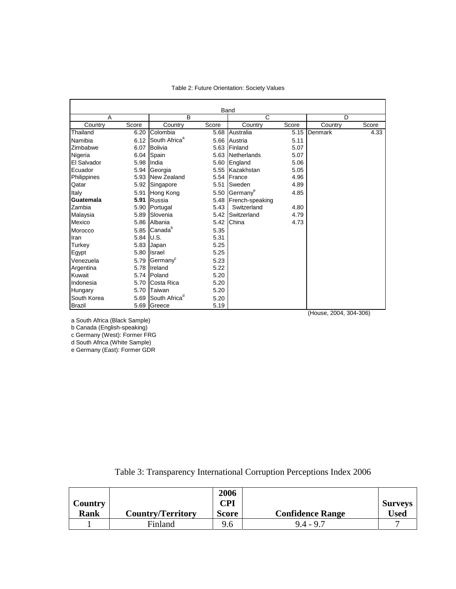<span id="page-13-0"></span>

|               |             |                           |       | Band                 |       |              |       |
|---------------|-------------|---------------------------|-------|----------------------|-------|--------------|-------|
| A             |             | B                         |       | C                    |       | D            |       |
| Country       | Score       | Country                   | Score | Country              | Score | Country      | Score |
| Thailand      | 6.20        | Colombia                  | 5.68  | Australia            |       | 5.15 Denmark | 4.33  |
| Namibia       | 6.12        | South Africa <sup>a</sup> | 5.66  | Austria              | 5.11  |              |       |
| Zimbabwe      | 6.07        | Bolivia                   | 5.63  | <b>Finland</b>       | 5.07  |              |       |
| Nigeria       | 6.04        | Spain                     | 5.63  | Netherlands          | 5.07  |              |       |
| El Salvador   | 5.98        | <b>I</b> India            | 5.60  | England              | 5.06  |              |       |
| Ecuador       |             | 5.94 Georgia              |       | 5.55 Kazakhstan      | 5.05  |              |       |
| Philippines   |             | 5.93 New Zealand          |       | 5.54 France          | 4.96  |              |       |
| Qatar         | 5.92        | Singapore                 | 5.51  | Sweden               | 4.89  |              |       |
| Italy         | 5.91        | Hong Kong                 | 5.50  | Germany <sup>e</sup> | 4.85  |              |       |
| Guatemala     | 5.91        | Russia                    | 5.48  | French-speaking      |       |              |       |
| Zambia        | 5.90        | Portugal                  | 5.43  | Switzerland          | 4.80  |              |       |
| Malaysia      | 5.89        | Slovenia                  | 5.42  | Switzerland          | 4.79  |              |       |
| Mexico        |             | 5.86 Albania              | 5.42  | China                | 4.73  |              |       |
| Morocco       | 5.85        | Canada <sup>b</sup>       | 5.35  |                      |       |              |       |
| Iran          | $5.84$ U.S. |                           | 5.31  |                      |       |              |       |
| Turkey        |             | 5.83 Japan                | 5.25  |                      |       |              |       |
| Egypt         |             | 5.80 Israel               | 5.25  |                      |       |              |       |
| Venezuela     | 5.79        | Germany <sup>c</sup>      | 5.23  |                      |       |              |       |
| Argentina     | 5.78        | Ireland                   | 5.22  |                      |       |              |       |
| Kuwait        |             | 5.74 Poland               | 5.20  |                      |       |              |       |
| Indonesia     | 5.70        | Costa Rica                | 5.20  |                      |       |              |       |
| Hungary       | 5.70        | Taiwan                    | 5.20  |                      |       |              |       |
| South Korea   | 5.69        | South Africa <sup>d</sup> | 5.20  |                      |       |              |       |
| <b>Brazil</b> | 5.69        | Greece                    | 5.19  |                      |       |              |       |

#### Table 2: Future Orientation: Society Values

a South Africa (Black Sample)

b Canada (English-speaking)

c Germany (West): Former FRG d South Africa (White Sample)

e Germany (East): Former GDR

|                |                          | 2006         |                         |                |
|----------------|--------------------------|--------------|-------------------------|----------------|
| <b>Country</b> |                          | CPI          |                         | <b>Surveys</b> |
| <b>Rank</b>    | <b>Country/Territory</b> | <b>Score</b> | <b>Confidence Range</b> | Used           |
|                | Finland                  | 9.6          | $9.4 - 9.7$             |                |

Table 3: Transparency International Corruption Perceptions Index 2006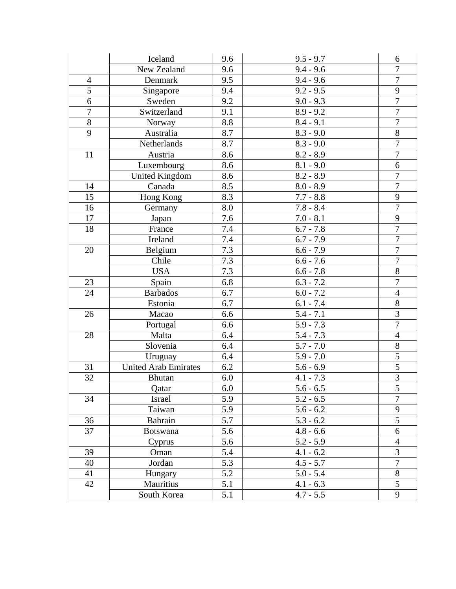|                | Iceland                     | 9.6     | $9.5 - 9.7$ | 6                |
|----------------|-----------------------------|---------|-------------|------------------|
|                | New Zealand                 | 9.6     | $9.4 - 9.6$ | $\overline{7}$   |
|                | Denmark                     | 9.5     | $9.4 - 9.6$ | $\overline{7}$   |
| $\frac{4}{5}$  | Singapore                   | 9.4     | $9.2 - 9.5$ | 9                |
| 6              | Sweden                      | 9.2     | $9.0 - 9.3$ | $\overline{7}$   |
| $\overline{7}$ | Switzerland                 | 9.1     | $8.9 - 9.2$ | $\overline{7}$   |
| $8\,$          | Norway                      | 8.8     | $8.4 - 9.1$ | $\overline{7}$   |
| $\overline{9}$ | Australia                   | 8.7     | $8.3 - 9.0$ | $8\,$            |
|                | Netherlands                 | 8.7     | $8.3 - 9.0$ | $\overline{7}$   |
| 11             | Austria                     | 8.6     | $8.2 - 8.9$ | $\overline{7}$   |
|                | Luxembourg                  | 8.6     | $8.1 - 9.0$ | 6                |
|                | <b>United Kingdom</b>       | 8.6     | $8.2 - 8.9$ | $\overline{7}$   |
| 14             | Canada                      | 8.5     | $8.0 - 8.9$ | $\boldsymbol{7}$ |
| 15             | Hong Kong                   | 8.3     | $7.7 - 8.8$ | $\mathbf{9}$     |
| 16             | Germany                     | 8.0     | $7.8 - 8.4$ | $\overline{7}$   |
| 17             | Japan                       | 7.6     | $7.0 - 8.1$ | 9                |
| 18             | France                      | 7.4     | $6.7 - 7.8$ | $\overline{7}$   |
|                | Ireland                     | $7.4\,$ | $6.7 - 7.9$ | $\overline{7}$   |
| 20             | Belgium                     | 7.3     | $6.6 - 7.9$ | $\overline{7}$   |
|                | Chile                       | 7.3     | $6.6 - 7.6$ | $\overline{7}$   |
|                | <b>USA</b>                  | 7.3     | $6.6 - 7.8$ | $8\,$            |
| 23             | Spain                       | 6.8     | $6.3 - 7.2$ | $\overline{7}$   |
| 24             | <b>Barbados</b>             | 6.7     | $6.0 - 7.2$ | $\overline{4}$   |
|                | Estonia                     | 6.7     | $6.1 - 7.4$ | $8\,$            |
| 26             | Macao                       | 6.6     | $5.4 - 7.1$ | $\overline{3}$   |
|                | Portugal                    | 6.6     | $5.9 - 7.3$ | $\overline{7}$   |
| 28             | Malta                       | 6.4     | $5.4 - 7.3$ | $\overline{4}$   |
|                | Slovenia                    | 6.4     | $5.7 - 7.0$ | $8\,$            |
|                | Uruguay                     | 6.4     | $5.9 - 7.0$ | $\overline{5}$   |
| 31             | <b>United Arab Emirates</b> | 6.2     | $5.6 - 6.9$ | 5                |
| 32             | <b>Bhutan</b>               | 6.0     | $4.1 - 7.3$ | 3                |
|                | Qatar                       | 6.0     | $5.6 - 6.5$ | 5                |
| 34             | Israel                      | 5.9     | $5.2 - 6.5$ | $\overline{7}$   |
|                | Taiwan                      | 5.9     | $5.6 - 6.2$ | 9                |
| 36             | Bahrain                     | 5.7     | $5.3 - 6.2$ | 5                |
| 37             | <b>Botswana</b>             | 5.6     | $4.8 - 6.6$ | 6                |
|                | Cyprus                      | 5.6     | $5.2 - 5.9$ | $\overline{4}$   |
| 39             | Oman                        | 5.4     | $4.1 - 6.2$ | $\overline{3}$   |
| 40             | Jordan                      | 5.3     | $4.5 - 5.7$ | $\overline{7}$   |
| 41             | Hungary                     | 5.2     | $5.0 - 5.4$ | 8                |
| 42             | Mauritius                   | 5.1     | $4.1 - 6.3$ | 5                |
|                | South Korea                 | 5.1     | $4.7 - 5.5$ | 9                |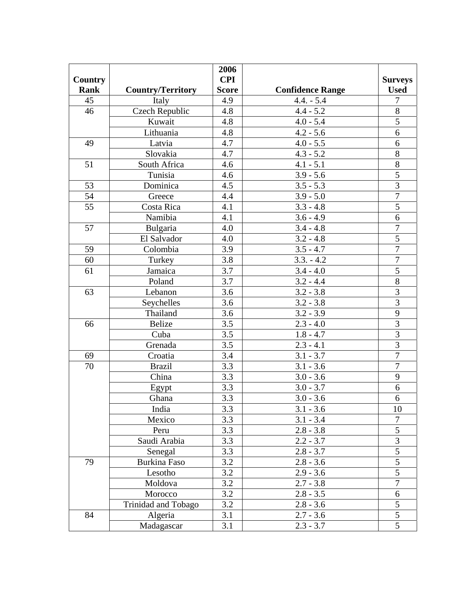|             |                          | 2006             |                         |                  |
|-------------|--------------------------|------------------|-------------------------|------------------|
| Country     |                          | <b>CPI</b>       |                         | <b>Surveys</b>   |
| <b>Rank</b> | <b>Country/Territory</b> | <b>Score</b>     | <b>Confidence Range</b> | <b>Used</b>      |
| 45          | Italy                    | 4.9              | $4.4. - 5.4$            | $\overline{7}$   |
| 46          | Czech Republic           | 4.8              | $4.4 - 5.2$             | $8\,$            |
|             | Kuwait                   | 4.8              | $4.0 - 5.4$             | $\overline{5}$   |
|             | Lithuania                | 4.8              | $4.2 - 5.6$             | 6                |
| 49          | Latvia                   | 4.7              | $4.0 - 5.5$             | 6                |
|             | Slovakia                 | 4.7              | $4.3 - 5.2$             | $8\,$            |
| 51          | South Africa             | 4.6              | $4.1 - 5.1$             | 8                |
|             | Tunisia                  | 4.6              | $3.9 - 5.6$             | 5                |
| 53          | Dominica                 | 4.5              | $3.5 - 5.3$             | $\overline{3}$   |
| 54          | Greece                   | 4.4              | $3.9 - 5.0$             | $\overline{7}$   |
| 55          | Costa Rica               | 4.1              | $3.3 - 4.8$             | $\overline{5}$   |
|             | Namibia                  | 4.1              | $3.6 - 4.9$             | 6                |
| 57          | Bulgaria                 | 4.0              | $3.4 - 4.8$             | $\overline{7}$   |
|             | El Salvador              | 4.0              | $3.2 - 4.8$             | 5                |
| 59          | Colombia                 | 3.9              | $3.5 - 4.7$             | $\overline{7}$   |
| 60          | Turkey                   | 3.8              | $3.3. - 4.2$            | $\overline{7}$   |
| 61          | Jamaica                  | 3.7              | $3.4 - 4.0$             | 5                |
|             | Poland                   | 3.7              | $3.2 - 4.4$             | 8                |
| 63          | Lebanon                  | 3.6              | $3.2 - 3.8$             | 3                |
|             | Seychelles               | 3.6              | $3.2 - 3.8$             | $\overline{3}$   |
|             | Thailand                 | 3.6              | $3.2 - 3.9$             | 9                |
| 66          | <b>Belize</b>            | 3.5              | $2.3 - 4.0$             | $\overline{3}$   |
|             | Cuba                     | 3.5              | $1.8 - 4.7$             | 3                |
|             | Grenada                  | 3.5              | $2.3 - 4.1$             | $\overline{3}$   |
| 69          | Croatia                  | 3.4              | $3.1 - 3.7$             | $\overline{7}$   |
| 70          | <b>Brazil</b>            | 3.3              | $3.1 - 3.6$             | $\overline{7}$   |
|             | China                    | 3.3              | $3.0 - 3.6$             | $\boldsymbol{9}$ |
|             | Egypt                    | 3.3              | $3.0 - 3.7$             | 6                |
|             | Ghana                    | $\overline{3.3}$ | $3.0 - 3.6$             | 6                |
|             | India                    | 3.3              | $3.1 - 3.6$             | 10               |
|             | Mexico                   | 3.3              | $3.1 - 3.4$             | $\overline{7}$   |
|             | Peru                     | 3.3              | $2.8 - 3.8$             | 5                |
|             | Saudi Arabia             | 3.3              | $2.2 - 3.7$             | 3                |
|             | Senegal                  | 3.3              | $2.8 - 3.7$             | 5                |
| 79          | Burkina Faso             | 3.2              | $2.8 - 3.6$             | 5                |
|             | Lesotho                  | 3.2              | $2.9 - 3.6$             | 5                |
|             | Moldova                  | 3.2              | $2.7 - 3.8$             | $\overline{7}$   |
|             | Morocco                  | 3.2              | $2.8 - 3.5$             | 6                |
|             | Trinidad and Tobago      | 3.2              | $2.8 - 3.6$             | 5                |
| 84          | Algeria                  | 3.1              | $2.7 - 3.6$             | 5                |
|             | Madagascar               | 3.1              | $2.3 - 3.7$             | 5                |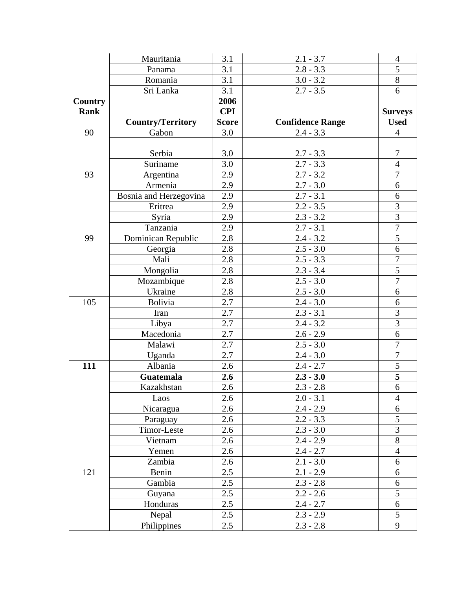|             | Mauritania               | 3.1          | $2.1 - 3.7$             | $\overline{4}$          |
|-------------|--------------------------|--------------|-------------------------|-------------------------|
|             | Panama                   | 3.1          | $2.8 - 3.3$             | 5                       |
|             | Romania                  | 3.1          | $3.0 - 3.2$             | $\overline{8}$          |
|             | Sri Lanka                | 3.1          | $2.7 - 3.5$             | 6                       |
| Country     |                          | 2006         |                         |                         |
| <b>Rank</b> |                          | <b>CPI</b>   |                         | <b>Surveys</b>          |
|             | <b>Country/Territory</b> | <b>Score</b> | <b>Confidence Range</b> | <b>Used</b>             |
| 90          | Gabon                    | 3.0          | $2.4 - 3.3$             | $\overline{4}$          |
|             |                          |              |                         |                         |
|             | Serbia                   | 3.0          | $2.7 - 3.3$             | $\boldsymbol{7}$        |
|             | Suriname                 | 3.0          | $2.7 - 3.3$             | $\overline{4}$          |
| 93          | Argentina                | 2.9          | $2.7 - 3.2$             | $\overline{7}$          |
|             | Armenia                  | 2.9          | $2.7 - 3.0$             | 6                       |
|             | Bosnia and Herzegovina   | 2.9          | $2.7 - 3.1$             | 6                       |
|             | Eritrea                  | 2.9          | $2.2 - 3.5$             | $\overline{3}$          |
|             | Syria                    | 2.9          | $2.3 - 3.2$             | $\overline{3}$          |
|             | Tanzania                 | 2.9          | $2.7 - 3.1$             | $\overline{7}$          |
| 99          | Dominican Republic       | 2.8          | $2.4 - 3.2$             | 5                       |
|             | Georgia                  | 2.8          | $2.5 - 3.0$             | 6                       |
|             | Mali                     | 2.8          | $2.5 - 3.3$             | $\boldsymbol{7}$        |
|             | Mongolia                 | 2.8          | $2.3 - 3.4$             | $\overline{5}$          |
|             | Mozambique               | 2.8          | $2.5 - 3.0$             | $\overline{7}$          |
|             | Ukraine                  | 2.8          | $2.5 - 3.0$             | 6                       |
| 105         | <b>Bolivia</b>           | 2.7          | $2.4 - 3.0$             | 6                       |
|             | Iran                     | 2.7          | $2.3 - 3.1$             | $\overline{3}$          |
|             | Libya                    | 2.7          | $2.4 - 3.2$             | $\overline{3}$          |
|             | Macedonia                | 2.7          | $2.6 - 2.9$             | 6                       |
|             | Malawi                   | 2.7          | $2.5 - 3.0$             | $\overline{7}$          |
|             | Uganda                   | 2.7          | $2.4 - 3.0$             | $\overline{7}$          |
| 111         | Albania                  | 2.6          | $2.4 - 2.7$             | $\overline{5}$          |
|             | Guatemala                | 2.6          | $2.3 - 3.0$             | $\overline{\mathbf{5}}$ |
|             | Kazakhstan               | 2.6          | $2.3 - 2.8$             | $\boldsymbol{6}$        |
|             | Laos                     | 2.6          | $2.0 - 3.1$             | $\overline{4}$          |
|             | Nicaragua                | 2.6          | $2.4 - 2.9$             | 6                       |
|             | Paraguay                 | 2.6          | $2.2 - 3.3$             | 5                       |
|             | Timor-Leste              | 2.6          | $2.3 - 3.0$             | 3                       |
|             | Vietnam                  | 2.6          | $2.4 - 2.9$             | $8\,$                   |
|             | Yemen                    | 2.6          | $2.4 - 2.7$             | $\overline{4}$          |
|             | Zambia                   | 2.6          | $2.1 - 3.0$             | 6                       |
| 121         | Benin                    | $2.5\,$      | $2.1 - 2.9$             | 6                       |
|             | Gambia                   | $2.5\,$      | $2.3 - 2.8$             | 6                       |
|             | Guyana                   | 2.5          | $2.2 - 2.6$             | 5                       |
|             | Honduras                 | 2.5          | $2.4 - 2.7$             | 6                       |
|             | Nepal                    | 2.5          | $2.3 - 2.9$             | 5                       |
|             | Philippines              | 2.5          | $2.3 - 2.8$             | 9                       |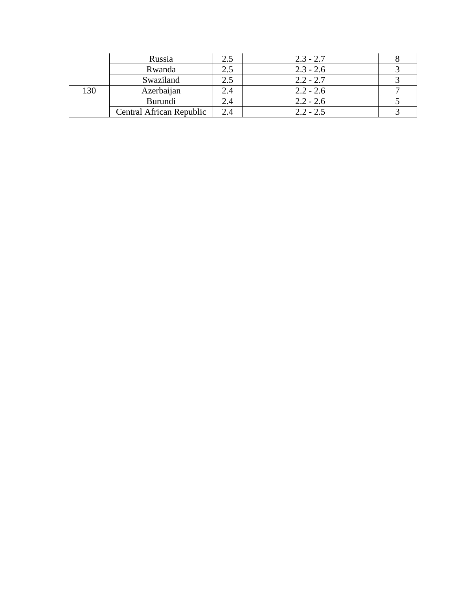|     | Russia                   | 2.5 | $2.3 - 2.7$ |  |
|-----|--------------------------|-----|-------------|--|
|     | Rwanda                   | 2.5 | $2.3 - 2.6$ |  |
|     | Swaziland                | 2.5 | $2.2 - 2.7$ |  |
| 130 | Azerbaijan               | 2.4 | $2.2 - 2.6$ |  |
|     | Burundi                  | 2.4 | $2.2 - 2.6$ |  |
|     | Central African Republic | 2.4 | $2.2 - 2.5$ |  |